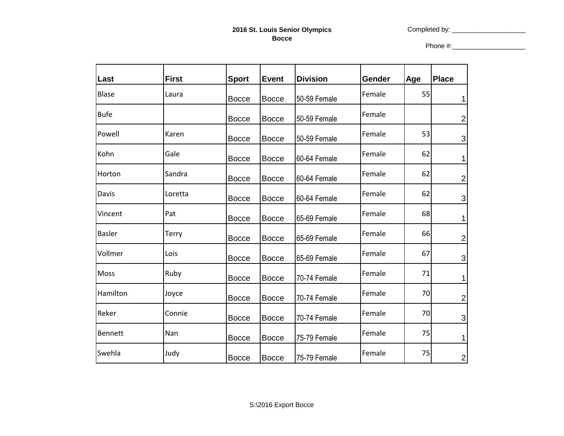Completed by: \_\_\_\_\_\_\_\_\_\_\_\_\_\_\_\_\_\_\_\_

Phone #:\_\_\_\_\_\_\_\_\_\_\_\_\_\_\_\_\_\_\_\_

| Last           | <b>First</b> | <b>Sport</b> | Event        | <b>Division</b> | Gender | Age | <b>Place</b>   |
|----------------|--------------|--------------|--------------|-----------------|--------|-----|----------------|
| <b>Blase</b>   | Laura        | <b>Bocce</b> | <b>Bocce</b> | 50-59 Female    | Female | 55  | 1              |
| <b>Bufe</b>    |              | <b>Bocce</b> | <b>Bocce</b> | 50-59 Female    | Female |     | $\overline{2}$ |
| Powell         | Karen        | <b>Bocce</b> | Bocce        | 50-59 Female    | Female | 53  | $\mathfrak{B}$ |
| Kohn           | Gale         | <b>Bocce</b> | Bocce        | 60-64 Female    | Female | 62  | 1              |
| Horton         | Sandra       | <b>Bocce</b> | <b>Bocce</b> | 60-64 Female    | Female | 62  | $\overline{2}$ |
| Davis          | Loretta      | <b>Bocce</b> | Bocce        | 60-64 Female    | Female | 62  | $\overline{3}$ |
| Vincent        | Pat          | <b>Bocce</b> | Bocce        | 65-69 Female    | Female | 68  | 1              |
| <b>Basler</b>  | Terry        | <b>Bocce</b> | Bocce        | 65-69 Female    | Female | 66  | $\overline{2}$ |
| Vollmer        | Lois         | <b>Bocce</b> | Bocce        | 65-69 Female    | Female | 67  | $\mathfrak{S}$ |
| <b>Moss</b>    | Ruby         | <b>Bocce</b> | Bocce        | 70-74 Female    | Female | 71  | 1              |
| Hamilton       | Joyce        | <b>Bocce</b> | Bocce        | 70-74 Female    | Female | 70  | $\mathbf 2$    |
| Reker          | Connie       | <b>Bocce</b> | Bocce        | 70-74 Female    | Female | 70  | $\mathbf{3}$   |
| <b>Bennett</b> | Nan          | <b>Bocce</b> | Bocce        | 75-79 Female    | Female | 75  | 1              |
| Swehla         | Judy         | <b>Bocce</b> | Bocce        | 75-79 Female    | Female | 75  | $\overline{2}$ |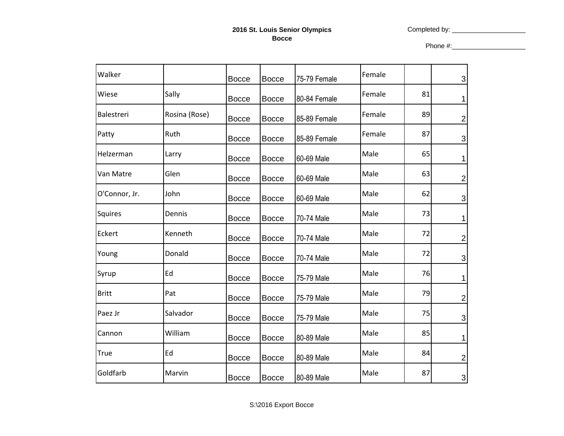Completed by: \_\_\_\_\_\_\_\_\_\_\_\_\_\_\_\_\_\_\_\_

Phone #:\_\_\_\_\_\_\_\_\_\_\_\_\_\_\_\_\_\_\_\_

| Walker        |               | <b>Bocce</b> | <b>Bocce</b> | 75-79 Female | Female |    | $\sqrt{3}$                |
|---------------|---------------|--------------|--------------|--------------|--------|----|---------------------------|
| Wiese         | Sally         | <b>Bocce</b> | <b>Bocce</b> | 80-84 Female | Female | 81 | 1                         |
| Balestreri    | Rosina (Rose) | <b>Bocce</b> | <b>Bocce</b> | 85-89 Female | Female | 89 | $\overline{\mathbf{c}}$   |
| Patty         | Ruth          | <b>Bocce</b> | <b>Bocce</b> | 85-89 Female | Female | 87 | $\mathbf{3}$              |
| Helzerman     | Larry         | <b>Bocce</b> | <b>Bocce</b> | 60-69 Male   | Male   | 65 | 1                         |
| Van Matre     | Glen          | <b>Bocce</b> | <b>Bocce</b> | 60-69 Male   | Male   | 63 | $\overline{\mathbf{c}}$   |
| O'Connor, Jr. | John          | <b>Bocce</b> | <b>Bocce</b> | 60-69 Male   | Male   | 62 | $\ensuremath{\mathsf{3}}$ |
| Squires       | Dennis        | <b>Bocce</b> | <b>Bocce</b> | 70-74 Male   | Male   | 73 | 1                         |
| Eckert        | Kenneth       | <b>Bocce</b> | <b>Bocce</b> | 70-74 Male   | Male   | 72 | $\overline{\mathbf{c}}$   |
| Young         | Donald        | <b>Bocce</b> | <b>Bocce</b> | 70-74 Male   | Male   | 72 | $\sqrt{3}$                |
| Syrup         | Ed            | <b>Bocce</b> | <b>Bocce</b> | 75-79 Male   | Male   | 76 | 1                         |
| <b>Britt</b>  | Pat           | <b>Bocce</b> | <b>Bocce</b> | 75-79 Male   | Male   | 79 | $\overline{\mathbf{c}}$   |
| Paez Jr       | Salvador      | <b>Bocce</b> | <b>Bocce</b> | 75-79 Male   | Male   | 75 | $\sqrt{3}$                |
| Cannon        | William       | <b>Bocce</b> | <b>Bocce</b> | 80-89 Male   | Male   | 85 | 1                         |
| <b>True</b>   | Ed            | <b>Bocce</b> | <b>Bocce</b> | 80-89 Male   | Male   | 84 | $\overline{\mathbf{c}}$   |
| Goldfarb      | Marvin        | <b>Bocce</b> | <b>Bocce</b> | 80-89 Male   | Male   | 87 | $\mathbf{3}$              |